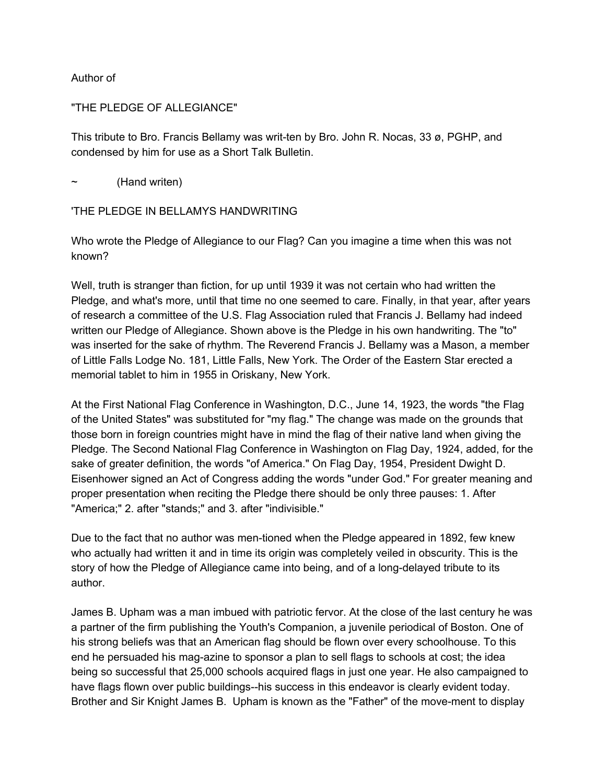## Author of

## "THE PLEDGE OF ALLEGIANCE"

This tribute to Bro. Francis Bellamy was writ-ten by Bro. John R. Nocas, 33 ø, PGHP, and condensed by him for use as a Short Talk Bulletin.

(Hand writen)

## 'THE PLEDGE IN BELLAMYS HANDWRITING

Who wrote the Pledge of Allegiance to our Flag? Can you imagine a time when this was not known?

Well, truth is stranger than fiction, for up until 1939 it was not certain who had written the Pledge, and what's more, until that time no one seemed to care. Finally, in that year, after years of research a committee of the U.S. Flag Association ruled that Francis J. Bellamy had indeed written our Pledge of Allegiance. Shown above is the Pledge in his own handwriting. The "to" was inserted for the sake of rhythm. The Reverend Francis J. Bellamy was a Mason, a member of Little Falls Lodge No. 181, Little Falls, New York. The Order of the Eastern Star erected a memorial tablet to him in 1955 in Oriskany, New York.

At the First National Flag Conference in Washington, D.C., June 14, 1923, the words "the Flag of the United States" was substituted for "my flag." The change was made on the grounds that those born in foreign countries might have in mind the flag of their native land when giving the Pledge. The Second National Flag Conference in Washington on Flag Day, 1924, added, for the sake of greater definition, the words "of America." On Flag Day, 1954, President Dwight D. Eisenhower signed an Act of Congress adding the words "under God." For greater meaning and proper presentation when reciting the Pledge there should be only three pauses: 1. After "America;" 2. after "stands;" and 3. after "indivisible."

Due to the fact that no author was men-tioned when the Pledge appeared in 1892, few knew who actually had written it and in time its origin was completely veiled in obscurity. This is the story of how the Pledge of Allegiance came into being, and of a long-delayed tribute to its author.

James B. Upham was a man imbued with patriotic fervor. At the close of the last century he was a partner of the firm publishing the Youth's Companion, a juvenile periodical of Boston. One of his strong beliefs was that an American flag should be flown over every schoolhouse. To this end he persuaded his mag-azine to sponsor a plan to sell flags to schools at cost; the idea being so successful that 25,000 schools acquired flags in just one year. He also campaigned to have flags flown over public buildings--his success in this endeavor is clearly evident today. Brother and Sir Knight James B. Upham is known as the "Father" of the move-ment to display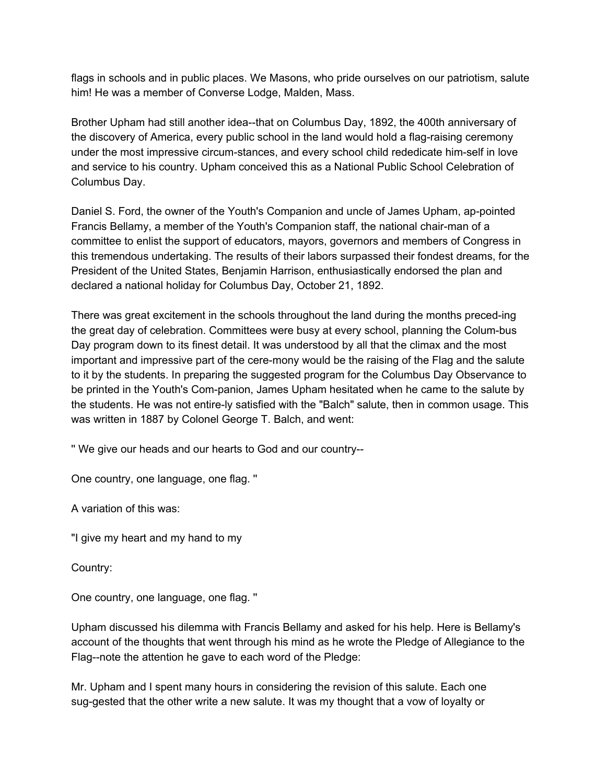flags in schools and in public places. We Masons, who pride ourselves on our patriotism, salute him! He was a member of Converse Lodge, Malden, Mass.

Brother Upham had still another idea--that on Columbus Day, 1892, the 400th anniversary of the discovery of America, every public school in the land would hold a flag-raising ceremony under the most impressive circum-stances, and every school child rededicate him-self in love and service to his country. Upham conceived this as a National Public School Celebration of Columbus Day.

Daniel S. Ford, the owner of the Youth's Companion and uncle of James Upham, ap-pointed Francis Bellamy, a member of the Youth's Companion staff, the national chair-man of a committee to enlist the support of educators, mayors, governors and members of Congress in this tremendous undertaking. The results of their labors surpassed their fondest dreams, for the President of the United States, Benjamin Harrison, enthusiastically endorsed the plan and declared a national holiday for Columbus Day, October 21, 1892.

There was great excitement in the schools throughout the land during the months preced-ing the great day of celebration. Committees were busy at every school, planning the Colum-bus Day program down to its finest detail. It was understood by all that the climax and the most important and impressive part of the cere-mony would be the raising of the Flag and the salute to it by the students. In preparing the suggested program for the Columbus Day Observance to be printed in the Youth's Com-panion, James Upham hesitated when he came to the salute by the students. He was not entire-ly satisfied with the "Balch" salute, then in common usage. This was written in 1887 by Colonel George T. Balch, and went:

'' We give our heads and our hearts to God and our country--

One country, one language, one flag. ''

A variation of this was:

"I give my heart and my hand to my

Country:

One country, one language, one flag. ''

Upham discussed his dilemma with Francis Bellamy and asked for his help. Here is Bellamy's account of the thoughts that went through his mind as he wrote the Pledge of Allegiance to the Flag--note the attention he gave to each word of the Pledge:

Mr. Upham and I spent many hours in considering the revision of this salute. Each one sug-gested that the other write a new salute. It was my thought that a vow of loyalty or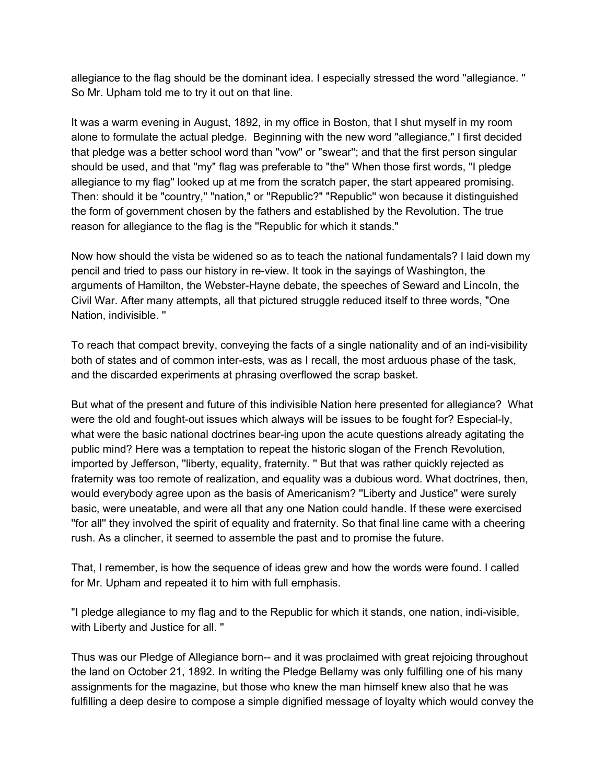allegiance to the flag should be the dominant idea. I especially stressed the word ''allegiance. '' So Mr. Upham told me to try it out on that line.

It was a warm evening in August, 1892, in my office in Boston, that I shut myself in my room alone to formulate the actual pledge. Beginning with the new word "allegiance," I first decided that pledge was a better school word than "vow" or "swear''; and that the first person singular should be used, and that ''my" flag was preferable to "the'' When those first words, "I pledge allegiance to my flag'' looked up at me from the scratch paper, the start appeared promising. Then: should it be "country,'' "nation," or ''Republic?" "Republic'' won because it distinguished the form of government chosen by the fathers and established by the Revolution. The true reason for allegiance to the flag is the ''Republic for which it stands."

Now how should the vista be widened so as to teach the national fundamentals? I laid down my pencil and tried to pass our history in re-view. It took in the sayings of Washington, the arguments of Hamilton, the Webster-Hayne debate, the speeches of Seward and Lincoln, the Civil War. After many attempts, all that pictured struggle reduced itself to three words, "One Nation, indivisible. ''

To reach that compact brevity, conveying the facts of a single nationality and of an indi-visibility both of states and of common inter-ests, was as I recall, the most arduous phase of the task, and the discarded experiments at phrasing overflowed the scrap basket.

But what of the present and future of this indivisible Nation here presented for allegiance? What were the old and fought-out issues which always will be issues to be fought for? Especial-ly, what were the basic national doctrines bear-ing upon the acute questions already agitating the public mind? Here was a temptation to repeat the historic slogan of the French Revolution, imported by Jefferson, ''liberty, equality, fraternity. '' But that was rather quickly rejected as fraternity was too remote of realization, and equality was a dubious word. What doctrines, then, would everybody agree upon as the basis of Americanism? ''Liberty and Justice'' were surely basic, were uneatable, and were all that any one Nation could handle. If these were exercised ''for all'' they involved the spirit of equality and fraternity. So that final line came with a cheering rush. As a clincher, it seemed to assemble the past and to promise the future.

That, I remember, is how the sequence of ideas grew and how the words were found. I called for Mr. Upham and repeated it to him with full emphasis.

"I pledge allegiance to my flag and to the Republic for which it stands, one nation, indi-visible, with Liberty and Justice for all. ''

Thus was our Pledge of Allegiance born-- and it was proclaimed with great rejoicing throughout the land on October 21, 1892. In writing the Pledge Bellamy was only fulfilling one of his many assignments for the magazine, but those who knew the man himself knew also that he was fulfilling a deep desire to compose a simple dignified message of loyalty which would convey the